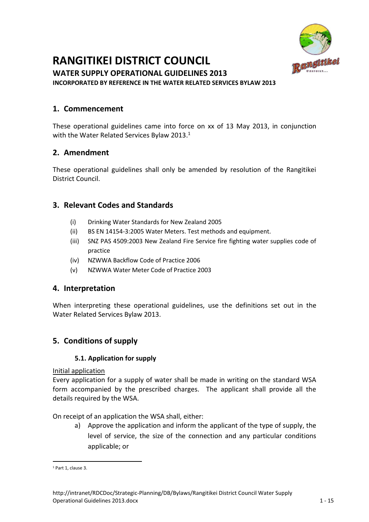

# **RANGITIKEI DISTRICT COUNCIL**

**WATER SUPPLY OPERATIONAL GUIDELINES 2013 INCORPORATED BY REFERENCE IN THE WATER RELATED SERVICES BYLAW 2013**

# **1. Commencement**

These operational guidelines came into force on xx of 13 May 2013, in conjunction with the Water Related Services Bylaw 2013.<sup>1</sup>

# **2. Amendment**

These operational guidelines shall only be amended by resolution of the Rangitikei District Council.

# **3. Relevant Codes and Standards**

- (i) Drinking Water Standards for New Zealand 2005
- (ii) BS EN 14154-3:2005 Water Meters. Test methods and equipment.
- (iii) SNZ PAS 4509:2003 New Zealand Fire Service fire fighting water supplies code of practice
- (iv) NZWWA Backflow Code of Practice 2006
- (v) NZWWA Water Meter Code of Practice 2003

# **4. Interpretation**

When interpreting these operational guidelines, use the definitions set out in the Water Related Services Bylaw 2013.

# **5. Conditions of supply**

## **5.1. Application for supply**

Initial application

Every application for a supply of water shall be made in writing on the standard WSA form accompanied by the prescribed charges. The applicant shall provide all the details required by the WSA.

On receipt of an application the WSA shall, either:

a) Approve the application and inform the applicant of the type of supply, the level of service, the size of the connection and any particular conditions applicable; or

**<sup>.</sup>** <sup>1</sup> Part 1, clause 3.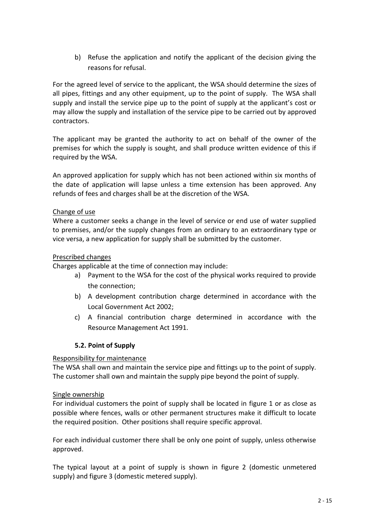b) Refuse the application and notify the applicant of the decision giving the reasons for refusal.

For the agreed level of service to the applicant, the WSA should determine the sizes of all pipes, fittings and any other equipment, up to the point of supply. The WSA shall supply and install the service pipe up to the point of supply at the applicant's cost or may allow the supply and installation of the service pipe to be carried out by approved contractors.

The applicant may be granted the authority to act on behalf of the owner of the premises for which the supply is sought, and shall produce written evidence of this if required by the WSA.

An approved application for supply which has not been actioned within six months of the date of application will lapse unless a time extension has been approved. Any refunds of fees and charges shall be at the discretion of the WSA.

## Change of use

Where a customer seeks a change in the level of service or end use of water supplied to premises, and/or the supply changes from an ordinary to an extraordinary type or vice versa, a new application for supply shall be submitted by the customer.

## Prescribed changes

Charges applicable at the time of connection may include:

- a) Payment to the WSA for the cost of the physical works required to provide the connection;
- b) A development contribution charge determined in accordance with the Local Government Act 2002;
- c) A financial contribution charge determined in accordance with the Resource Management Act 1991.

## **5.2. Point of Supply**

#### Responsibility for maintenance

The WSA shall own and maintain the service pipe and fittings up to the point of supply. The customer shall own and maintain the supply pipe beyond the point of supply.

#### Single ownership

For individual customers the point of supply shall be located in figure 1 or as close as possible where fences, walls or other permanent structures make it difficult to locate the required position. Other positions shall require specific approval.

For each individual customer there shall be only one point of supply, unless otherwise approved.

The typical layout at a point of supply is shown in figure 2 (domestic unmetered supply) and figure 3 (domestic metered supply).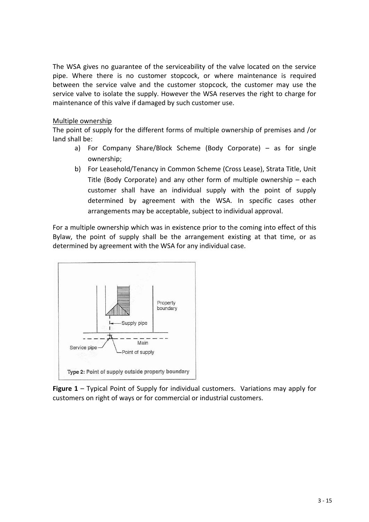The WSA gives no guarantee of the serviceability of the valve located on the service pipe. Where there is no customer stopcock, or where maintenance is required between the service valve and the customer stopcock, the customer may use the service valve to isolate the supply. However the WSA reserves the right to charge for maintenance of this valve if damaged by such customer use.

## Multiple ownership

The point of supply for the different forms of multiple ownership of premises and /or land shall be:

- a) For Company Share/Block Scheme (Body Corporate) as for single ownership;
- b) For Leasehold/Tenancy in Common Scheme (Cross Lease), Strata Title, Unit Title (Body Corporate) and any other form of multiple ownership – each customer shall have an individual supply with the point of supply determined by agreement with the WSA. In specific cases other arrangements may be acceptable, subject to individual approval.

For a multiple ownership which was in existence prior to the coming into effect of this Bylaw, the point of supply shall be the arrangement existing at that time, or as determined by agreement with the WSA for any individual case.



**Figure 1** – Typical Point of Supply for individual customers. Variations may apply for customers on right of ways or for commercial or industrial customers.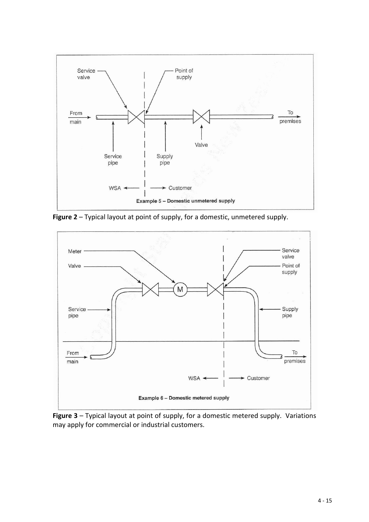

**Figure 2** – Typical layout at point of supply, for a domestic, unmetered supply.



**Figure 3** – Typical layout at point of supply, for a domestic metered supply. Variations may apply for commercial or industrial customers.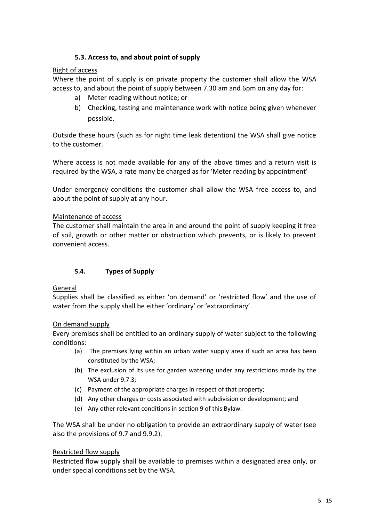## **5.3. Access to, and about point of supply**

## Right of access

Where the point of supply is on private property the customer shall allow the WSA access to, and about the point of supply between 7.30 am and 6pm on any day for:

- a) Meter reading without notice; or
- b) Checking, testing and maintenance work with notice being given whenever possible.

Outside these hours (such as for night time leak detention) the WSA shall give notice to the customer.

Where access is not made available for any of the above times and a return visit is required by the WSA, a rate many be charged as for 'Meter reading by appointment'

Under emergency conditions the customer shall allow the WSA free access to, and about the point of supply at any hour.

## Maintenance of access

The customer shall maintain the area in and around the point of supply keeping it free of soil, growth or other matter or obstruction which prevents, or is likely to prevent convenient access.

## **5.4. Types of Supply**

#### General

Supplies shall be classified as either 'on demand' or 'restricted flow' and the use of water from the supply shall be either 'ordinary' or 'extraordinary'.

#### On demand supply

Every premises shall be entitled to an ordinary supply of water subject to the following conditions:

- (a) The premises lying within an urban water supply area if such an area has been constituted by the WSA;
- (b) The exclusion of its use for garden watering under any restrictions made by the WSA under 9.7.3;
- (c) Payment of the appropriate charges in respect of that property;
- (d) Any other charges or costs associated with subdivision or development; and
- (e) Any other relevant conditions in section 9 of this Bylaw.

The WSA shall be under no obligation to provide an extraordinary supply of water (see also the provisions of 9.7 and 9.9.2).

#### Restricted flow supply

Restricted flow supply shall be available to premises within a designated area only, or under special conditions set by the WSA.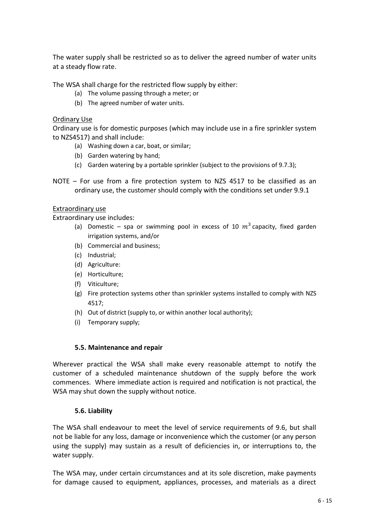The water supply shall be restricted so as to deliver the agreed number of water units at a steady flow rate.

The WSA shall charge for the restricted flow supply by either:

- (a) The volume passing through a meter; or
- (b) The agreed number of water units.

## Ordinary Use

Ordinary use is for domestic purposes (which may include use in a fire sprinkler system to NZS4517) and shall include:

- (a) Washing down a car, boat, or similar;
- (b) Garden watering by hand;
- (c) Garden watering by a portable sprinkler (subject to the provisions of 9.7.3);
- NOTE For use from a fire protection system to NZS 4517 to be classified as an ordinary use, the customer should comply with the conditions set under 9.9.1

#### Extraordinary use

Extraordinary use includes:

- (a) Domestic spa or swimming pool in excess of 10  $m^3$  capacity, fixed garden irrigation systems, and/or
- (b) Commercial and business;
- (c) Industrial;
- (d) Agriculture:
- (e) Horticulture;
- (f) Viticulture;
- (g) Fire protection systems other than sprinkler systems installed to comply with NZS 4517;
- (h) Out of district (supply to, or within another local authority);
- (i) Temporary supply;

#### **5.5. Maintenance and repair**

Wherever practical the WSA shall make every reasonable attempt to notify the customer of a scheduled maintenance shutdown of the supply before the work commences. Where immediate action is required and notification is not practical, the WSA may shut down the supply without notice.

#### **5.6. Liability**

The WSA shall endeavour to meet the level of service requirements of 9.6, but shall not be liable for any loss, damage or inconvenience which the customer (or any person using the supply) may sustain as a result of deficiencies in, or interruptions to, the water supply.

The WSA may, under certain circumstances and at its sole discretion, make payments for damage caused to equipment, appliances, processes, and materials as a direct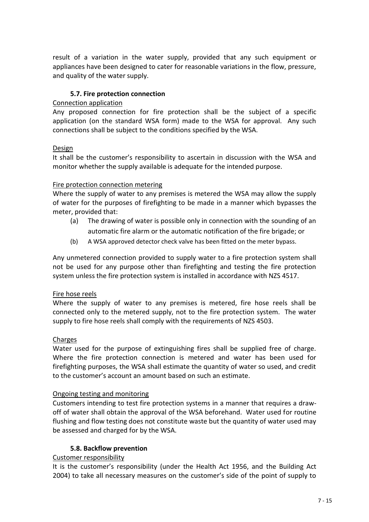result of a variation in the water supply, provided that any such equipment or appliances have been designed to cater for reasonable variations in the flow, pressure, and quality of the water supply.

## **5.7. Fire protection connection**

#### Connection application

Any proposed connection for fire protection shall be the subject of a specific application (on the standard WSA form) made to the WSA for approval. Any such connections shall be subject to the conditions specified by the WSA.

## Design

It shall be the customer's responsibility to ascertain in discussion with the WSA and monitor whether the supply available is adequate for the intended purpose.

## Fire protection connection metering

Where the supply of water to any premises is metered the WSA may allow the supply of water for the purposes of firefighting to be made in a manner which bypasses the meter, provided that:

- (a) The drawing of water is possible only in connection with the sounding of an automatic fire alarm or the automatic notification of the fire brigade; or
- (b) A WSA approved detector check valve has been fitted on the meter bypass.

Any unmetered connection provided to supply water to a fire protection system shall not be used for any purpose other than firefighting and testing the fire protection system unless the fire protection system is installed in accordance with NZS 4517.

#### Fire hose reels

Where the supply of water to any premises is metered, fire hose reels shall be connected only to the metered supply, not to the fire protection system. The water supply to fire hose reels shall comply with the requirements of NZS 4503.

## Charges

Water used for the purpose of extinguishing fires shall be supplied free of charge. Where the fire protection connection is metered and water has been used for firefighting purposes, the WSA shall estimate the quantity of water so used, and credit to the customer's account an amount based on such an estimate.

#### Ongoing testing and monitoring

Customers intending to test fire protection systems in a manner that requires a drawoff of water shall obtain the approval of the WSA beforehand. Water used for routine flushing and flow testing does not constitute waste but the quantity of water used may be assessed and charged for by the WSA.

## **5.8. Backflow prevention**

## Customer responsibility

It is the customer's responsibility (under the Health Act 1956, and the Building Act 2004) to take all necessary measures on the customer's side of the point of supply to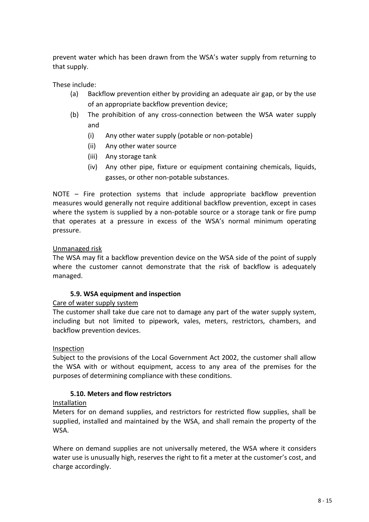prevent water which has been drawn from the WSA's water supply from returning to that supply.

These include:

- (a) Backflow prevention either by providing an adequate air gap, or by the use of an appropriate backflow prevention device;
- (b) The prohibition of any cross-connection between the WSA water supply and
	- (i) Any other water supply (potable or non-potable)
	- (ii) Any other water source
	- (iii) Any storage tank
	- (iv) Any other pipe, fixture or equipment containing chemicals, liquids, gasses, or other non-potable substances.

NOTE – Fire protection systems that include appropriate backflow prevention measures would generally not require additional backflow prevention, except in cases where the system is supplied by a non-potable source or a storage tank or fire pump that operates at a pressure in excess of the WSA's normal minimum operating pressure.

## Unmanaged risk

The WSA may fit a backflow prevention device on the WSA side of the point of supply where the customer cannot demonstrate that the risk of backflow is adequately managed.

#### **5.9. WSA equipment and inspection**

Care of water supply system

The customer shall take due care not to damage any part of the water supply system, including but not limited to pipework, vales, meters, restrictors, chambers, and backflow prevention devices.

#### **Inspection**

Subject to the provisions of the Local Government Act 2002, the customer shall allow the WSA with or without equipment, access to any area of the premises for the purposes of determining compliance with these conditions.

## **5.10. Meters and flow restrictors**

#### Installation

Meters for on demand supplies, and restrictors for restricted flow supplies, shall be supplied, installed and maintained by the WSA, and shall remain the property of the WSA.

Where on demand supplies are not universally metered, the WSA where it considers water use is unusually high, reserves the right to fit a meter at the customer's cost, and charge accordingly.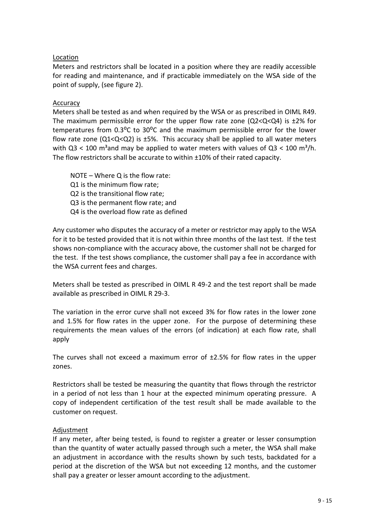## Location

Meters and restrictors shall be located in a position where they are readily accessible for reading and maintenance, and if practicable immediately on the WSA side of the point of supply, (see figure 2).

## Accuracy

Meters shall be tested as and when required by the WSA or as prescribed in OIML R49. The maximum permissible error for the upper flow rate zone  $(Q2 < Q < Q4)$  is  $\pm 2\%$  for temperatures from  $0.3^{\circ}C$  to  $30^{\circ}C$  and the maximum permissible error for the lower flow rate zone  $(Q1< Q< Q2)$  is  $\pm 5\%$ . This accuracy shall be applied to all water meters with  $Q3 < 100$  m<sup>3</sup> and may be applied to water meters with values of  $Q3 < 100$  m<sup>3</sup>/h. The flow restrictors shall be accurate to within ±10% of their rated capacity.

NOTE – Where Q is the flow rate: Q1 is the minimum flow rate; Q2 is the transitional flow rate; Q3 is the permanent flow rate; and Q4 is the overload flow rate as defined

Any customer who disputes the accuracy of a meter or restrictor may apply to the WSA for it to be tested provided that it is not within three months of the last test. If the test shows non-compliance with the accuracy above, the customer shall not be charged for the test. If the test shows compliance, the customer shall pay a fee in accordance with the WSA current fees and charges.

Meters shall be tested as prescribed in OIML R 49-2 and the test report shall be made available as prescribed in OIML R 29-3.

The variation in the error curve shall not exceed 3% for flow rates in the lower zone and 1.5% for flow rates in the upper zone. For the purpose of determining these requirements the mean values of the errors (of indication) at each flow rate, shall apply

The curves shall not exceed a maximum error of  $\pm$ 2.5% for flow rates in the upper zones.

Restrictors shall be tested be measuring the quantity that flows through the restrictor in a period of not less than 1 hour at the expected minimum operating pressure. A copy of independent certification of the test result shall be made available to the customer on request.

#### Adjustment

If any meter, after being tested, is found to register a greater or lesser consumption than the quantity of water actually passed through such a meter, the WSA shall make an adjustment in accordance with the results shown by such tests, backdated for a period at the discretion of the WSA but not exceeding 12 months, and the customer shall pay a greater or lesser amount according to the adjustment.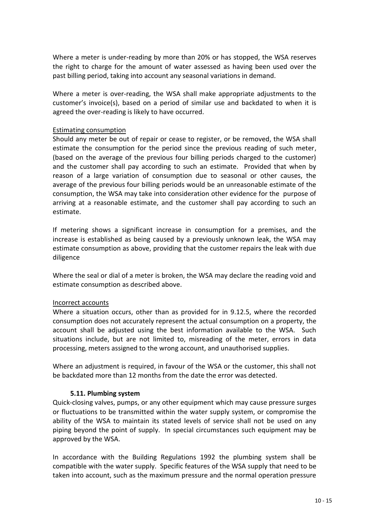Where a meter is under-reading by more than 20% or has stopped, the WSA reserves the right to charge for the amount of water assessed as having been used over the past billing period, taking into account any seasonal variations in demand.

Where a meter is over-reading, the WSA shall make appropriate adjustments to the customer's invoice(s), based on a period of similar use and backdated to when it is agreed the over-reading is likely to have occurred.

#### Estimating consumption

Should any meter be out of repair or cease to register, or be removed, the WSA shall estimate the consumption for the period since the previous reading of such meter, (based on the average of the previous four billing periods charged to the customer) and the customer shall pay according to such an estimate. Provided that when by reason of a large variation of consumption due to seasonal or other causes, the average of the previous four billing periods would be an unreasonable estimate of the consumption, the WSA may take into consideration other evidence for the purpose of arriving at a reasonable estimate, and the customer shall pay according to such an estimate.

If metering shows a significant increase in consumption for a premises, and the increase is established as being caused by a previously unknown leak, the WSA may estimate consumption as above, providing that the customer repairs the leak with due diligence

Where the seal or dial of a meter is broken, the WSA may declare the reading void and estimate consumption as described above.

#### Incorrect accounts

Where a situation occurs, other than as provided for in 9.12.5, where the recorded consumption does not accurately represent the actual consumption on a property, the account shall be adjusted using the best information available to the WSA. Such situations include, but are not limited to, misreading of the meter, errors in data processing, meters assigned to the wrong account, and unauthorised supplies.

Where an adjustment is required, in favour of the WSA or the customer, this shall not be backdated more than 12 months from the date the error was detected.

#### **5.11. Plumbing system**

Quick-closing valves, pumps, or any other equipment which may cause pressure surges or fluctuations to be transmitted within the water supply system, or compromise the ability of the WSA to maintain its stated levels of service shall not be used on any piping beyond the point of supply. In special circumstances such equipment may be approved by the WSA.

In accordance with the Building Regulations 1992 the plumbing system shall be compatible with the water supply. Specific features of the WSA supply that need to be taken into account, such as the maximum pressure and the normal operation pressure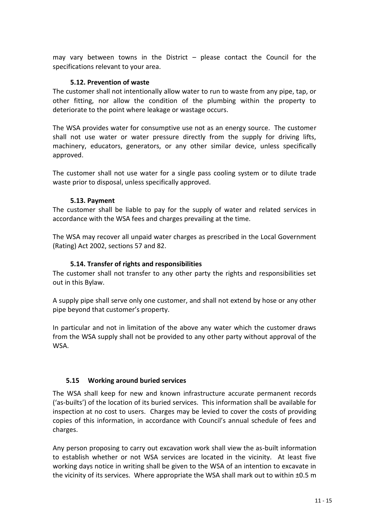may vary between towns in the District – please contact the Council for the specifications relevant to your area.

## **5.12. Prevention of waste**

The customer shall not intentionally allow water to run to waste from any pipe, tap, or other fitting, nor allow the condition of the plumbing within the property to deteriorate to the point where leakage or wastage occurs.

The WSA provides water for consumptive use not as an energy source. The customer shall not use water or water pressure directly from the supply for driving lifts, machinery, educators, generators, or any other similar device, unless specifically approved.

The customer shall not use water for a single pass cooling system or to dilute trade waste prior to disposal, unless specifically approved.

## **5.13. Payment**

The customer shall be liable to pay for the supply of water and related services in accordance with the WSA fees and charges prevailing at the time.

The WSA may recover all unpaid water charges as prescribed in the Local Government (Rating) Act 2002, sections 57 and 82.

## **5.14. Transfer of rights and responsibilities**

The customer shall not transfer to any other party the rights and responsibilities set out in this Bylaw.

A supply pipe shall serve only one customer, and shall not extend by hose or any other pipe beyond that customer's property.

In particular and not in limitation of the above any water which the customer draws from the WSA supply shall not be provided to any other party without approval of the WSA.

## **5.15 Working around buried services**

The WSA shall keep for new and known infrastructure accurate permanent records ('as-builts') of the location of its buried services. This information shall be available for inspection at no cost to users. Charges may be levied to cover the costs of providing copies of this information, in accordance with Council's annual schedule of fees and charges.

Any person proposing to carry out excavation work shall view the as-built information to establish whether or not WSA services are located in the vicinity. At least five working days notice in writing shall be given to the WSA of an intention to excavate in the vicinity of its services. Where appropriate the WSA shall mark out to within ±0.5 m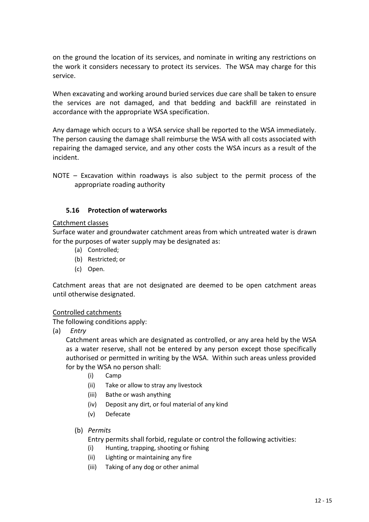on the ground the location of its services, and nominate in writing any restrictions on the work it considers necessary to protect its services. The WSA may charge for this service.

When excavating and working around buried services due care shall be taken to ensure the services are not damaged, and that bedding and backfill are reinstated in accordance with the appropriate WSA specification.

Any damage which occurs to a WSA service shall be reported to the WSA immediately. The person causing the damage shall reimburse the WSA with all costs associated with repairing the damaged service, and any other costs the WSA incurs as a result of the incident.

NOTE – Excavation within roadways is also subject to the permit process of the appropriate roading authority

## **5.16 Protection of waterworks**

#### Catchment classes

Surface water and groundwater catchment areas from which untreated water is drawn for the purposes of water supply may be designated as:

- (a) Controlled;
- (b) Restricted; or
- (c) Open.

Catchment areas that are not designated are deemed to be open catchment areas until otherwise designated.

#### Controlled catchments

The following conditions apply:

(a) *Entry*

Catchment areas which are designated as controlled, or any area held by the WSA as a water reserve, shall not be entered by any person except those specifically authorised or permitted in writing by the WSA. Within such areas unless provided for by the WSA no person shall:

- (i) Camp
- (ii) Take or allow to stray any livestock
- (iii) Bathe or wash anything
- (iv) Deposit any dirt, or foul material of any kind
- (v) Defecate
- (b) *Permits*

Entry permits shall forbid, regulate or control the following activities:

- (i) Hunting, trapping, shooting or fishing
- (ii) Lighting or maintaining any fire
- (iii) Taking of any dog or other animal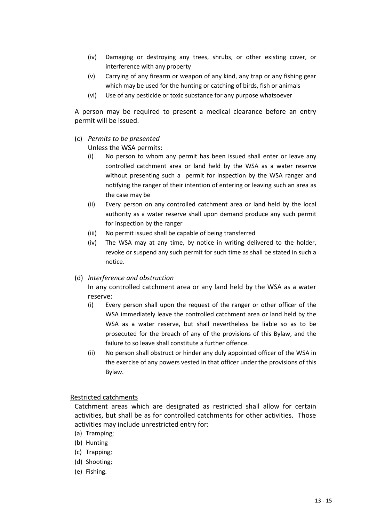- (iv) Damaging or destroying any trees, shrubs, or other existing cover, or interference with any property
- (v) Carrying of any firearm or weapon of any kind, any trap or any fishing gear which may be used for the hunting or catching of birds, fish or animals
- (vi) Use of any pesticide or toxic substance for any purpose whatsoever

A person may be required to present a medical clearance before an entry permit will be issued.

(c) *Permits to be presented*

Unless the WSA permits:

- (i) No person to whom any permit has been issued shall enter or leave any controlled catchment area or land held by the WSA as a water reserve without presenting such a permit for inspection by the WSA ranger and notifying the ranger of their intention of entering or leaving such an area as the case may be
- (ii) Every person on any controlled catchment area or land held by the local authority as a water reserve shall upon demand produce any such permit for inspection by the ranger
- (iii) No permit issued shall be capable of being transferred
- (iv) The WSA may at any time, by notice in writing delivered to the holder, revoke or suspend any such permit for such time as shall be stated in such a notice.

## (d) *Interference and obstruction*

In any controlled catchment area or any land held by the WSA as a water reserve:

- (i) Every person shall upon the request of the ranger or other officer of the WSA immediately leave the controlled catchment area or land held by the WSA as a water reserve, but shall nevertheless be liable so as to be prosecuted for the breach of any of the provisions of this Bylaw, and the failure to so leave shall constitute a further offence.
- (ii) No person shall obstruct or hinder any duly appointed officer of the WSA in the exercise of any powers vested in that officer under the provisions of this Bylaw.

#### Restricted catchments

Catchment areas which are designated as restricted shall allow for certain activities, but shall be as for controlled catchments for other activities. Those activities may include unrestricted entry for:

- (a) Tramping;
- (b) Hunting
- (c) Trapping;
- (d) Shooting;
- (e) Fishing.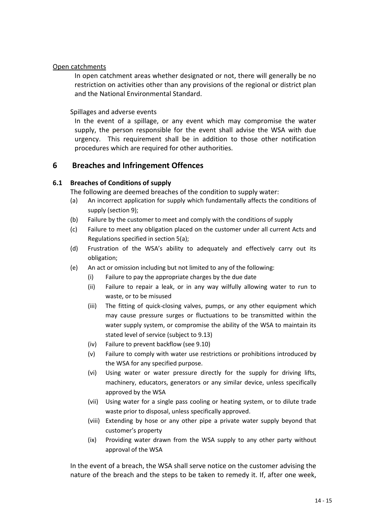## Open catchments

In open catchment areas whether designated or not, there will generally be no restriction on activities other than any provisions of the regional or district plan and the National Environmental Standard.

Spillages and adverse events

In the event of a spillage, or any event which may compromise the water supply, the person responsible for the event shall advise the WSA with due urgency. This requirement shall be in addition to those other notification procedures which are required for other authorities.

# **6 Breaches and Infringement Offences**

## **6.1 Breaches of Conditions of supply**

The following are deemed breaches of the condition to supply water:

- (a) An incorrect application for supply which fundamentally affects the conditions of supply (section 9);
- (b) Failure by the customer to meet and comply with the conditions of supply
- (c) Failure to meet any obligation placed on the customer under all current Acts and Regulations specified in section 5(a);
- (d) Frustration of the WSA's ability to adequately and effectively carry out its obligation;
- (e) An act or omission including but not limited to any of the following:
	- (i) Failure to pay the appropriate charges by the due date
	- (ii) Failure to repair a leak, or in any way wilfully allowing water to run to waste, or to be misused
	- (iii) The fitting of quick-closing valves, pumps, or any other equipment which may cause pressure surges or fluctuations to be transmitted within the water supply system, or compromise the ability of the WSA to maintain its stated level of service (subject to 9.13)
	- (iv) Failure to prevent backflow (see 9.10)
	- (v) Failure to comply with water use restrictions or prohibitions introduced by the WSA for any specified purpose.
	- (vi) Using water or water pressure directly for the supply for driving lifts, machinery, educators, generators or any similar device, unless specifically approved by the WSA
	- (vii) Using water for a single pass cooling or heating system, or to dilute trade waste prior to disposal, unless specifically approved.
	- (viii) Extending by hose or any other pipe a private water supply beyond that customer's property
	- (ix) Providing water drawn from the WSA supply to any other party without approval of the WSA

In the event of a breach, the WSA shall serve notice on the customer advising the nature of the breach and the steps to be taken to remedy it. If, after one week,